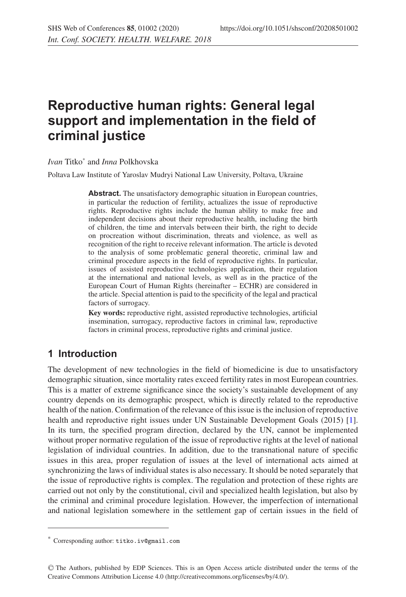# **Reproductive human rights: General legal support and implementation in the field of criminal justice**

*Ivan* Titko\* and *Inna* Polkhovska

Poltava Law Institute of Yaroslav Mudryi National Law University, Poltava, Ukraine

Abstract. The unsatisfactory demographic situation in European countries, in particular the reduction of fertility, actualizes the issue of reproductive rights. Reproductive rights include the human ability to make free and independent decisions about their reproductive health, including the birth of children, the time and intervals between their birth, the right to decide on procreation without discrimination, threats and violence, as well as recognition of the right to receive relevant information. The article is devoted to the analysis of some problematic general theoretic, criminal law and criminal procedure aspects in the field of reproductive rights. In particular, issues of assisted reproductive technologies application, their regulation at the international and national levels, as well as in the practice of the European Court of Human Rights (hereinafter – ECHR) are considered in the article. Special attention is paid to the specificity of the legal and practical factors of surrogacy.

**Key words:** reproductive right, assisted reproductive technologies, artificial insemination, surrogacy, reproductive factors in criminal law, reproductive factors in criminal process, reproductive rights and criminal justice.

### **1 Introduction**

The development of new technologies in the field of biomedicine is due to unsatisfactory demographic situation, since mortality rates exceed fertility rates in most European countries. This is a matter of extreme significance since the society's sustainable development of any country depends on its demographic prospect, which is directly related to the reproductive health of the nation. Confirmation of the relevance of this issue is the inclusion of reproductive health and reproductive right issues under UN Sustainable Development Goals (2015) [\[1](#page-7-0)]. In its turn, the specified program direction, declared by the UN, cannot be implemented without proper normative regulation of the issue of reproductive rights at the level of national legislation of individual countries. In addition, due to the transnational nature of specific issues in this area, proper regulation of issues at the level of international acts aimed at synchronizing the laws of individual states is also necessary. It should be noted separately that the issue of reproductive rights is complex. The regulation and protection of these rights are carried out not only by the constitutional, civil and specialized health legislation, but also by the criminal and criminal procedure legislation. However, the imperfection of international and national legislation somewhere in the settlement gap of certain issues in the field of

<sup>\*</sup> Corresponding author: titko.iv@gmail.com

<sup>C</sup> The Authors, published by EDP Sciences. This is an Open Access article distributed under the terms of the Creative Commons Attribution License 4.0 (http://creativecommons.org/licenses/by/4.0/).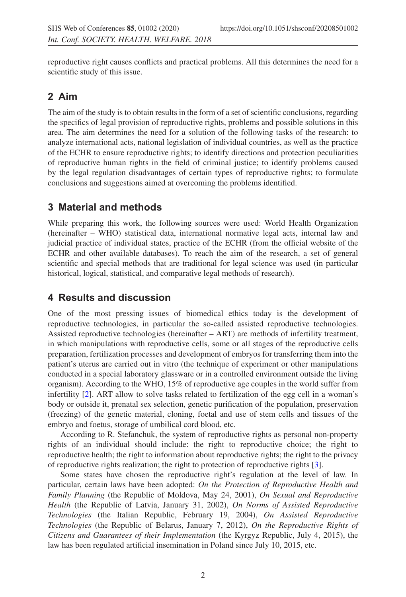reproductive right causes conflicts and practical problems. All this determines the need for a scientific study of this issue.

# **2 Aim**

The aim of the study is to obtain results in the form of a set of scientific conclusions, regarding the specifics of legal provision of reproductive rights, problems and possible solutions in this area. The aim determines the need for a solution of the following tasks of the research: to analyze international acts, national legislation of individual countries, as well as the practice of the ECHR to ensure reproductive rights; to identify directions and protection peculiarities of reproductive human rights in the field of criminal justice; to identify problems caused by the legal regulation disadvantages of certain types of reproductive rights; to formulate conclusions and suggestions aimed at overcoming the problems identified.

## **3 Material and methods**

While preparing this work, the following sources were used: World Health Organization (hereinafter – WHO) statistical data, international normative legal acts, internal law and judicial practice of individual states, practice of the ECHR (from the official website of the ECHR and other available databases). To reach the aim of the research, a set of general scientific and special methods that are traditional for legal science was used (in particular historical, logical, statistical, and comparative legal methods of research).

# **4 Results and discussion**

One of the most pressing issues of biomedical ethics today is the development of reproductive technologies, in particular the so-called assisted reproductive technologies. Assisted reproductive technologies (hereinafter – ART) are methods of infertility treatment, in which manipulations with reproductive cells, some or all stages of the reproductive cells preparation, fertilization processes and development of embryos for transferring them into the patient's uterus are carried out in vitro (the technique of experiment or other manipulations conducted in a special laboratory glassware or in a controlled environment outside the living organism). According to the WHO, 15% of reproductive age couples in the world suffer from infertility [\[2\]](#page-7-1). ART allow to solve tasks related to fertilization of the egg cell in a woman's body or outside it, prenatal sex selection, genetic purification of the population, preservation (freezing) of the genetic material, cloning, foetal and use of stem cells and tissues of the embryo and foetus, storage of umbilical cord blood, etc.

According to R. Stefanchuk, the system of reproductive rights as personal non-property rights of an individual should include: the right to reproductive choice; the right to reproductive health; the right to information about reproductive rights; the right to the privacy of reproductive rights realization; the right to protection of reproductive rights [\[3](#page-7-2)].

Some states have chosen the reproductive right's regulation at the level of law. In particular, certain laws have been adopted: *On the Protection of Reproductive Health and Family Planning* (the Republic of Moldova, May 24, 2001), *On Sexual and Reproductive Health* (the Republic of Latvia, January 31, 2002), *On Norms of Assisted Reproductive Technologies* (the Italian Republic, February 19, 2004), *On Assisted Reproductive Technologies* (the Republic of Belarus, January 7, 2012), *On the Reproductive Rights of Citizens and Guarantees of their Implementation* (the Kyrgyz Republic, July 4, 2015), the law has been regulated artificial insemination in Poland since July 10, 2015, etc.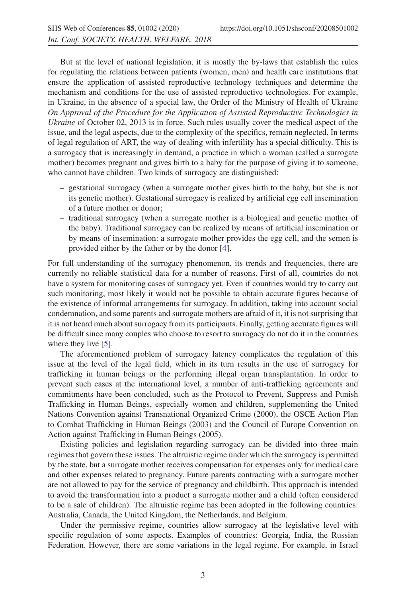But at the level of national legislation, it is mostly the by-laws that establish the rules for regulating the relations between patients (women, men) and health care institutions that ensure the application of assisted reproductive technology techniques and determine the mechanism and conditions for the use of assisted reproductive technologies. For example, in Ukraine, in the absence of a special law, the Order of the Ministry of Health of Ukraine *On Approval of the Procedure for the Application of Assisted Reproductive Technologies in Ukraine* of October 02, 2013 is in force. Such rules usually cover the medical aspect of the issue, and the legal aspects, due to the complexity of the specifics, remain neglected. In terms of legal regulation of ART, the way of dealing with infertility has a special difficulty. This is a surrogacy that is increasingly in demand, a practice in which a woman (called a surrogate mother) becomes pregnant and gives birth to a baby for the purpose of giving it to someone, who cannot have children. Two kinds of surrogacy are distinguished:

- gestational surrogacy (when a surrogate mother gives birth to the baby, but she is not its genetic mother). Gestational surrogacy is realized by artificial egg cell insemination of a future mother or donor;
- traditional surrogacy (when a surrogate mother is a biological and genetic mother of the baby). Traditional surrogacy can be realized by means of artificial insemination or by means of insemination: a surrogate mother provides the egg cell, and the semen is provided either by the father or by the donor [\[4](#page-7-3)].

For full understanding of the surrogacy phenomenon, its trends and frequencies, there are currently no reliable statistical data for a number of reasons. First of all, countries do not have a system for monitoring cases of surrogacy yet. Even if countries would try to carry out such monitoring, most likely it would not be possible to obtain accurate figures because of the existence of informal arrangements for surrogacy. In addition, taking into account social condemnation, and some parents and surrogate mothers are afraid of it, it is not surprising that it is not heard much about surrogacy from its participants. Finally, getting accurate figures will be difficult since many couples who choose to resort to surrogacy do not do it in the countries where they live [\[5](#page-7-4)].

The aforementioned problem of surrogacy latency complicates the regulation of this issue at the level of the legal field, which in its turn results in the use of surrogacy for trafficking in human beings or the performing illegal organ transplantation. In order to prevent such cases at the international level, a number of anti-trafficking agreements and commitments have been concluded, such as the Protocol to Prevent, Suppress and Punish Trafficking in Human Beings, especially women and children, supplementing the United Nations Convention against Transnational Organized Crime (2000), the OSCE Action Plan to Combat Trafficking in Human Beings (2003) and the Council of Europe Convention on Action against Trafficking in Human Beings (2005).

Existing policies and legislation regarding surrogacy can be divided into three main regimes that govern these issues. The altruistic regime under which the surrogacy is permitted by the state, but a surrogate mother receives compensation for expenses only for medical care and other expenses related to pregnancy. Future parents contracting with a surrogate mother are not allowed to pay for the service of pregnancy and childbirth. This approach is intended to avoid the transformation into a product a surrogate mother and a child (often considered to be a sale of children). The altruistic regime has been adopted in the following countries: Australia, Canada, the United Kingdom, the Netherlands, and Belgium.

Under the permissive regime, countries allow surrogacy at the legislative level with specific regulation of some aspects. Examples of countries: Georgia, India, the Russian Federation. However, there are some variations in the legal regime. For example, in Israel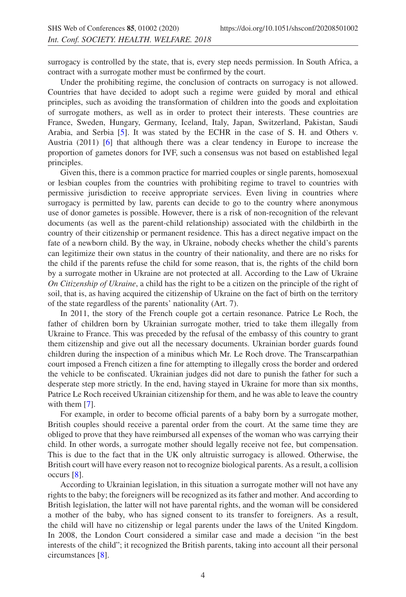surrogacy is controlled by the state, that is, every step needs permission. In South Africa, a contract with a surrogate mother must be confirmed by the court.

Under the prohibiting regime, the conclusion of contracts on surrogacy is not allowed. Countries that have decided to adopt such a regime were guided by moral and ethical principles, such as avoiding the transformation of children into the goods and exploitation of surrogate mothers, as well as in order to protect their interests. These countries are France, Sweden, Hungary, Germany, Iceland, Italy, Japan, Switzerland, Pakistan, Saudi Arabia, and Serbia [\[5\]](#page-7-4). It was stated by the ECHR in the case of S. H. and Others v. Austria (2011) [\[6\]](#page-7-5) that although there was a clear tendency in Europe to increase the proportion of gametes donors for IVF, such a consensus was not based on established legal principles.

Given this, there is a common practice for married couples or single parents, homosexual or lesbian couples from the countries with prohibiting regime to travel to countries with permissive jurisdiction to receive appropriate services. Even living in countries where surrogacy is permitted by law, parents can decide to go to the country where anonymous use of donor gametes is possible. However, there is a risk of non-recognition of the relevant documents (as well as the parent-child relationship) associated with the childbirth in the country of their citizenship or permanent residence. This has a direct negative impact on the fate of a newborn child. By the way, in Ukraine, nobody checks whether the child's parents can legitimize their own status in the country of their nationality, and there are no risks for the child if the parents refuse the child for some reason, that is, the rights of the child born by a surrogate mother in Ukraine are not protected at all. According to the Law of Ukraine *On Citizenship of Ukraine*, a child has the right to be a citizen on the principle of the right of soil, that is, as having acquired the citizenship of Ukraine on the fact of birth on the territory of the state regardless of the parents' nationality (Art. 7).

In 2011, the story of the French couple got a certain resonance. Patrice Le Roch, the father of children born by Ukrainian surrogate mother, tried to take them illegally from Ukraine to France. This was preceded by the refusal of the embassy of this country to grant them citizenship and give out all the necessary documents. Ukrainian border guards found children during the inspection of a minibus which Mr. Le Roch drove. The Transcarpathian court imposed a French citizen a fine for attempting to illegally cross the border and ordered the vehicle to be confiscated. Ukrainian judges did not dare to punish the father for such a desperate step more strictly. In the end, having stayed in Ukraine for more than six months, Patrice Le Roch received Ukrainian citizenship for them, and he was able to leave the country with them [\[7\]](#page-7-6).

For example, in order to become official parents of a baby born by a surrogate mother, British couples should receive a parental order from the court. At the same time they are obliged to prove that they have reimbursed all expenses of the woman who was carrying their child. In other words, a surrogate mother should legally receive not fee, but compensation. This is due to the fact that in the UK only altruistic surrogacy is allowed. Otherwise, the British court will have every reason not to recognize biological parents. As a result, a collision occurs [\[8\]](#page-7-7).

According to Ukrainian legislation, in this situation a surrogate mother will not have any rights to the baby; the foreigners will be recognized as its father and mother. And according to British legislation, the latter will not have parental rights, and the woman will be considered a mother of the baby, who has signed consent to its transfer to foreigners. As a result, the child will have no citizenship or legal parents under the laws of the United Kingdom. In 2008, the London Court considered a similar case and made a decision "in the best interests of the child"; it recognized the British parents, taking into account all their personal circumstances [\[8\]](#page-7-7).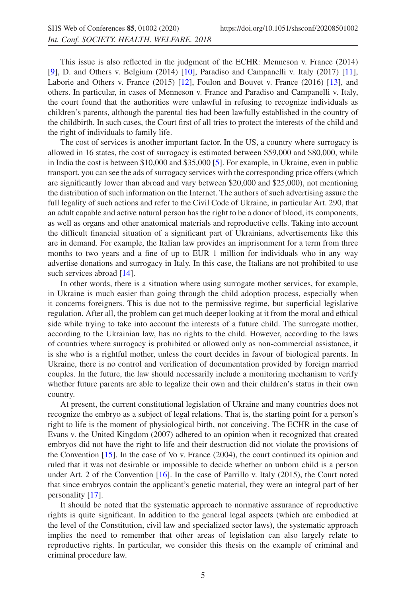This issue is also reflected in the judgment of the ECHR: Menneson v. France (2014) [\[9](#page-8-0)], D. and Others v. Belgium (2014) [\[10](#page-8-1)], Paradiso and Campanelli v. Italy (2017) [\[11](#page-8-2)], Laborie and Others v. France (2015) [\[12\]](#page-8-3), Foulon and Bouvet v. France (2016) [\[13](#page-8-4)], and others. In particular, in cases of Menneson v. France and Paradiso and Campanelli v. Italy, the court found that the authorities were unlawful in refusing to recognize individuals as children's parents, although the parental ties had been lawfully established in the country of the childbirth. In such cases, the Court first of all tries to protect the interests of the child and the right of individuals to family life.

The cost of services is another important factor. In the US, a country where surrogacy is allowed in 16 states, the cost of surrogacy is estimated between \$59,000 and \$80,000, while in India the cost is between \$10,000 and \$35,000 [\[5\]](#page-7-4). For example, in Ukraine, even in public transport, you can see the ads of surrogacy services with the corresponding price offers (which are significantly lower than abroad and vary between \$20,000 and \$25,000), not mentioning the distribution of such information on the Internet. The authors of such advertising assure the full legality of such actions and refer to the Civil Code of Ukraine, in particular Art. 290, that an adult capable and active natural person has the right to be a donor of blood, its components, as well as organs and other anatomical materials and reproductive cells. Taking into account the difficult financial situation of a significant part of Ukrainians, advertisements like this are in demand. For example, the Italian law provides an imprisonment for a term from three months to two years and a fine of up to EUR 1 million for individuals who in any way advertise donations and surrogacy in Italy. In this case, the Italians are not prohibited to use such services abroad [\[14\]](#page-8-5).

In other words, there is a situation where using surrogate mother services, for example, in Ukraine is much easier than going through the child adoption process, especially when it concerns foreigners. This is due not to the permissive regime, but superficial legislative regulation. After all, the problem can get much deeper looking at it from the moral and ethical side while trying to take into account the interests of a future child. The surrogate mother, according to the Ukrainian law, has no rights to the child. However, according to the laws of countries where surrogacy is prohibited or allowed only as non-commercial assistance, it is she who is a rightful mother, unless the court decides in favour of biological parents. In Ukraine, there is no control and verification of documentation provided by foreign married couples. In the future, the law should necessarily include a monitoring mechanism to verify whether future parents are able to legalize their own and their children's status in their own country.

At present, the current constitutional legislation of Ukraine and many countries does not recognize the embryo as a subject of legal relations. That is, the starting point for a person's right to life is the moment of physiological birth, not conceiving. The ECHR in the case of Evans v. the United Kingdom (2007) adhered to an opinion when it recognized that created embryos did not have the right to life and their destruction did not violate the provisions of the Convention [\[15\]](#page-8-6). In the case of Vo v. France (2004), the court continued its opinion and ruled that it was not desirable or impossible to decide whether an unborn child is a person under Art. 2 of the Convention [\[16\]](#page-8-7). In the case of Parrillo v. Italy (2015), the Court noted that since embryos contain the applicant's genetic material, they were an integral part of her personality [\[17\]](#page-8-8).

It should be noted that the systematic approach to normative assurance of reproductive rights is quite significant. In addition to the general legal aspects (which are embodied at the level of the Constitution, civil law and specialized sector laws), the systematic approach implies the need to remember that other areas of legislation can also largely relate to reproductive rights. In particular, we consider this thesis on the example of criminal and criminal procedure law.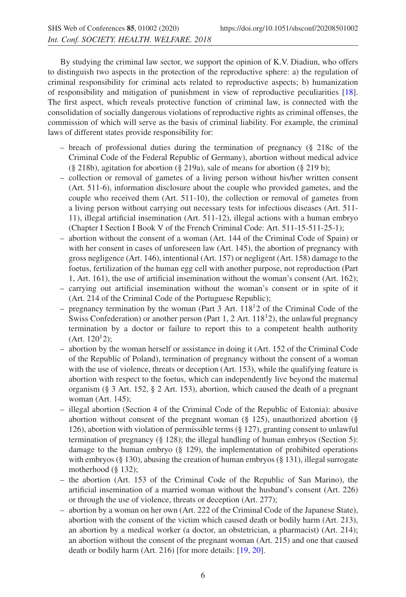By studying the criminal law sector, we support the opinion of K.V. Diadiun, who offers to distinguish two aspects in the protection of the reproductive sphere: a) the regulation of criminal responsibility for criminal acts related to reproductive aspects; b) humanization of responsibility and mitigation of punishment in view of reproductive peculiarities [\[18](#page-8-9)]. The first aspect, which reveals protective function of criminal law, is connected with the consolidation of socially dangerous violations of reproductive rights as criminal offenses, the commission of which will serve as the basis of criminal liability. For example, the criminal laws of different states provide responsibility for:

- $-$  breach of professional duties during the termination of pregnancy (§ 218c of the Criminal Code of the Federal Republic of Germany), abortion without medical advice (§ 218b), agitation for abortion (§ 219a), sale of means for abortion (§ 219 b);
- collection or removal of gametes of a living person without his/her written consent (Art. 511-6), information disclosure about the couple who provided gametes, and the couple who received them (Art. 511-10), the collection or removal of gametes from a living person without carrying out necessary tests for infectious diseases (Art. 511- 11), illegal artificial insemination (Art. 511-12), illegal actions with a human embryo (Chapter I Section I Book V of the French Criminal Code: Art. 511-15-511-25-1);
- abortion without the consent of a woman (Art. 144 of the Criminal Code of Spain) or with her consent in cases of unforeseen law (Art. 145), the abortion of pregnancy with gross negligence (Art. 146), intentional (Art. 157) or negligent (Art. 158) damage to the foetus, fertilization of the human egg cell with another purpose, not reproduction (Part 1, Art. 161), the use of artificial insemination without the woman's consent (Art. 162);
- carrying out artificial insemination without the woman's consent or in spite of it (Art. 214 of the Criminal Code of the Portuguese Republic);
- pregnancy termination by the woman (Part 3 Art.  $118<sup>12</sup>$ ) of the Criminal Code of the Swiss Confederation) or another person (Part 1, 2 Art.  $118<sup>1</sup>2$ ), the unlawful pregnancy termination by a doctor or failure to report this to a competent health authority  $(Art. 120<sup>1</sup>2)$ ;
- abortion by the woman herself or assistance in doing it (Art. 152 of the Criminal Code of the Republic of Poland), termination of pregnancy without the consent of a woman with the use of violence, threats or deception (Art. 153), while the qualifying feature is abortion with respect to the foetus, which can independently live beyond the maternal organism (§ 3 Art. 152, § 2 Art. 153), abortion, which caused the death of a pregnant woman (Art. 145);
- illegal abortion (Section 4 of the Criminal Code of the Republic of Estonia): abusive abortion without consent of the pregnant woman  $(\S$  125), unauthorized abortion  $(\S$ 126), abortion with violation of permissible terms (§ 127), granting consent to unlawful termination of pregnancy (§ 128); the illegal handling of human embryos (Section 5): damage to the human embryo (§ 129), the implementation of prohibited operations with embryos (§ 130), abusing the creation of human embryos (§ 131), illegal surrogate motherhood (§ 132);
- the abortion (Art. 153 of the Criminal Code of the Republic of San Marino), the artificial insemination of a married woman without the husband's consent (Art. 226) or through the use of violence, threats or deception (Art. 277);
- abortion by a woman on her own (Art. 222 of the Criminal Code of the Japanese State), abortion with the consent of the victim which caused death or bodily harm (Art. 213), an abortion by a medical worker (a doctor, an obstetrician, a pharmacist) (Art. 214); an abortion without the consent of the pregnant woman (Art. 215) and one that caused death or bodily harm (Art. 216) [for more details: [\[19,](#page-8-10) [20\]](#page-8-11).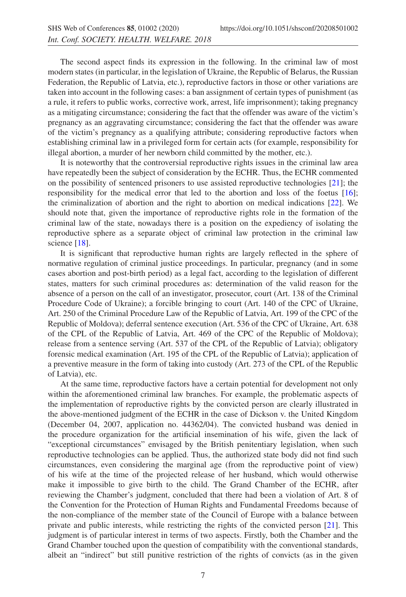The second aspect finds its expression in the following. In the criminal law of most modern states (in particular, in the legislation of Ukraine, the Republic of Belarus, the Russian Federation, the Republic of Latvia, etc.), reproductive factors in those or other variations are taken into account in the following cases: a ban assignment of certain types of punishment (as a rule, it refers to public works, corrective work, arrest, life imprisonment); taking pregnancy as a mitigating circumstance; considering the fact that the offender was aware of the victim's pregnancy as an aggravating circumstance; considering the fact that the offender was aware of the victim's pregnancy as a qualifying attribute; considering reproductive factors when establishing criminal law in a privileged form for certain acts (for example, responsibility for illegal abortion, a murder of her newborn child committed by the mother, etc.).

It is noteworthy that the controversial reproductive rights issues in the criminal law area have repeatedly been the subject of consideration by the ECHR. Thus, the ECHR commented on the possibility of sentenced prisoners to use assisted reproductive technologies [\[21\]](#page-8-12); the responsibility for the medical error that led to the abortion and loss of the foetus [\[16](#page-8-7)]; the criminalization of abortion and the right to abortion on medical indications [\[22\]](#page-8-13). We should note that, given the importance of reproductive rights role in the formation of the criminal law of the state, nowadays there is a position on the expediency of isolating the reproductive sphere as a separate object of criminal law protection in the criminal law science [\[18\]](#page-8-9).

It is significant that reproductive human rights are largely reflected in the sphere of normative regulation of criminal justice proceedings. In particular, pregnancy (and in some cases abortion and post-birth period) as a legal fact, according to the legislation of different states, matters for such criminal procedures as: determination of the valid reason for the absence of a person on the call of an investigator, prosecutor, court (Art. 138 of the Criminal Procedure Code of Ukraine); a forcible bringing to court (Art. 140 of the CPC of Ukraine, Art. 250 of the Criminal Procedure Law of the Republic of Latvia, Art. 199 of the CPC of the Republic of Moldova); deferral sentence execution (Art. 536 of the CPC of Ukraine, Art. 638 of the CPL of the Republic of Latvia, Art. 469 of the CPC of the Republic of Moldova); release from a sentence serving (Art. 537 of the CPL of the Republic of Latvia); obligatory forensic medical examination (Art. 195 of the CPL of the Republic of Latvia); application of a preventive measure in the form of taking into custody (Art. 273 of the CPL of the Republic of Latvia), etc.

At the same time, reproductive factors have a certain potential for development not only within the aforementioned criminal law branches. For example, the problematic aspects of the implementation of reproductive rights by the convicted person are clearly illustrated in the above-mentioned judgment of the ECHR in the case of Dickson v. the United Kingdom (December 04, 2007, application no. 44362/04). The convicted husband was denied in the procedure organization for the artificial insemination of his wife, given the lack of "exceptional circumstances" envisaged by the British penitentiary legislation, when such reproductive technologies can be applied. Thus, the authorized state body did not find such circumstances, even considering the marginal age (from the reproductive point of view) of his wife at the time of the projected release of her husband, which would otherwise make it impossible to give birth to the child. The Grand Chamber of the ECHR, after reviewing the Chamber's judgment, concluded that there had been a violation of Art. 8 of the Convention for the Protection of Human Rights and Fundamental Freedoms because of the non-compliance of the member state of the Council of Europe with a balance between private and public interests, while restricting the rights of the convicted person [\[21](#page-8-12)]. This judgment is of particular interest in terms of two aspects. Firstly, both the Chamber and the Grand Chamber touched upon the question of compatibility with the conventional standards, albeit an "indirect" but still punitive restriction of the rights of convicts (as in the given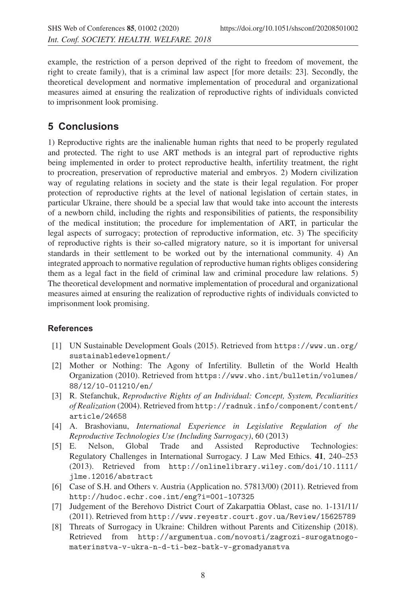example, the restriction of a person deprived of the right to freedom of movement, the right to create family), that is a criminal law aspect [for more details: 23]. Secondly, the theoretical development and normative implementation of procedural and organizational measures aimed at ensuring the realization of reproductive rights of individuals convicted to imprisonment look promising.

# **5 Conclusions**

1) Reproductive rights are the inalienable human rights that need to be properly regulated and protected. The right to use ART methods is an integral part of reproductive rights being implemented in order to protect reproductive health, infertility treatment, the right to procreation, preservation of reproductive material and embryos. 2) Modern civilization way of regulating relations in society and the state is their legal regulation. For proper protection of reproductive rights at the level of national legislation of certain states, in particular Ukraine, there should be a special law that would take into account the interests of a newborn child, including the rights and responsibilities of patients, the responsibility of the medical institution; the procedure for implementation of ART, in particular the legal aspects of surrogacy; protection of reproductive information, etc. 3) The specificity of reproductive rights is their so-called migratory nature, so it is important for universal standards in their settlement to be worked out by the international community. 4) An integrated approach to normative regulation of reproductive human rights obliges considering them as a legal fact in the field of criminal law and criminal procedure law relations. 5) The theoretical development and normative implementation of procedural and organizational measures aimed at ensuring the realization of reproductive rights of individuals convicted to imprisonment look promising.

#### <span id="page-7-0"></span>**References**

- [1] UN Sustainable Development Goals (2015). Retrieved from https://www.un.org/ sustainabledevelopment/
- <span id="page-7-1"></span>[2] Mother or Nothing: The Agony of Infertility. Bulletin of the World Health Organization (2010). Retrieved from https://www.who.int/bulletin/volumes/ 88/12/10-011210/en/
- <span id="page-7-2"></span>[3] R. Stefanchuk, *Reproductive Rights of an Individual: Concept, System, Peculiarities of Realization* (2004). Retrieved from http://radnuk.info/component/content/ article/24658
- <span id="page-7-3"></span>[4] A. Brashovianu, *International Experience in Legislative Regulation of the Reproductive Technologies Use (Including Surrogacy)*, 60 (2013)
- <span id="page-7-4"></span>[5] E. Nelson, Global Trade and Assisted Reproductive Technologies: Regulatory Challenges in International Surrogacy. J Law Med Ethics. **41**, 240–253 (2013). Retrieved from http://onlinelibrary.wiley.com/doi/10.1111/ jlme.12016/abstract
- <span id="page-7-5"></span>[6] Case of S.H. and Others v. Austria (Application no. 57813/00) (2011). Retrieved from http://hudoc.echr.coe.int/eng?i=001-107325
- <span id="page-7-6"></span>[7] Judgement of the Berehovo District Court of Zakarpattia Oblast, case no. 1-131/11/ (2011). Retrieved from http://www.reyestr.court.gov.ua/Review/15625789
- <span id="page-7-7"></span>[8] Threats of Surrogacy in Ukraine: Children without Parents and Citizenship (2018). Retrieved from http://argumentua.com/novosti/zagrozi-surogatnogomaterinstva-v-ukra-n-d-ti-bez-batk-v-gromadyanstva